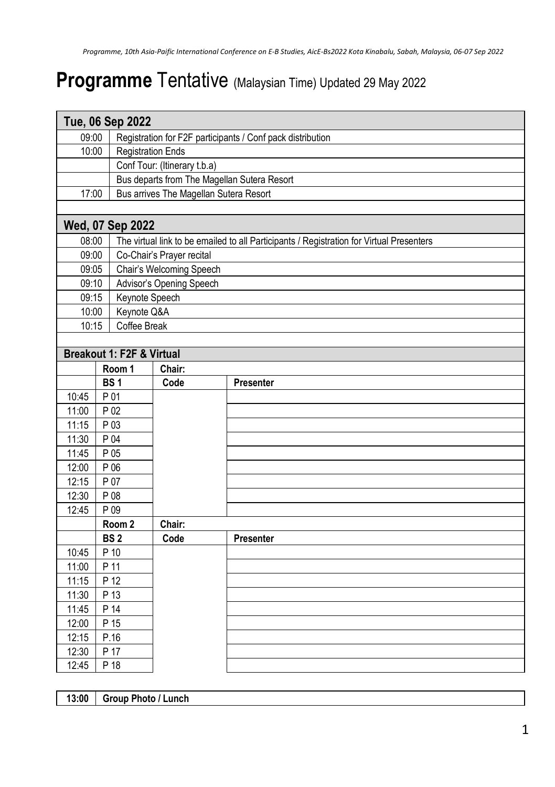## **Programme** Tentative (Malaysian Time) Updated 29 May 2022

|       |                   | Tue, 06 Sep 2022                                                                         |                                                            |                  |  |
|-------|-------------------|------------------------------------------------------------------------------------------|------------------------------------------------------------|------------------|--|
| 09:00 |                   |                                                                                          | Registration for F2F participants / Conf pack distribution |                  |  |
| 10:00 |                   | <b>Registration Ends</b>                                                                 |                                                            |                  |  |
|       |                   |                                                                                          | Conf Tour: (Itinerary t.b.a)                               |                  |  |
|       |                   |                                                                                          | Bus departs from The Magellan Sutera Resort                |                  |  |
| 17:00 |                   | Bus arrives The Magellan Sutera Resort                                                   |                                                            |                  |  |
|       |                   |                                                                                          |                                                            |                  |  |
|       |                   | Wed, 07 Sep 2022                                                                         |                                                            |                  |  |
| 08:00 |                   | The virtual link to be emailed to all Participants / Registration for Virtual Presenters |                                                            |                  |  |
| 09:00 |                   | Co-Chair's Prayer recital                                                                |                                                            |                  |  |
| 09:05 |                   | Chair's Welcoming Speech                                                                 |                                                            |                  |  |
| 09:10 |                   | Advisor's Opening Speech                                                                 |                                                            |                  |  |
| 09:15 |                   | Keynote Speech                                                                           |                                                            |                  |  |
| 10:00 |                   | Keynote Q&A                                                                              |                                                            |                  |  |
| 10:15 |                   | Coffee Break                                                                             |                                                            |                  |  |
|       |                   |                                                                                          |                                                            |                  |  |
|       |                   | Breakout 1: F2F & Virtual                                                                |                                                            |                  |  |
|       | Room 1            |                                                                                          | Chair:                                                     |                  |  |
|       | BS <sub>1</sub>   |                                                                                          | Code                                                       | <b>Presenter</b> |  |
| 10:45 | P 01              |                                                                                          |                                                            |                  |  |
| 11:00 | P 02              |                                                                                          |                                                            |                  |  |
| 11:15 | P 03              |                                                                                          |                                                            |                  |  |
| 11:30 | P 04              |                                                                                          |                                                            |                  |  |
| 11:45 | P 05              |                                                                                          |                                                            |                  |  |
| 12:00 | P 06              |                                                                                          |                                                            |                  |  |
| 12:15 | P 07              |                                                                                          |                                                            |                  |  |
| 12:30 | P 08              |                                                                                          |                                                            |                  |  |
| 12:45 | P 09              |                                                                                          |                                                            |                  |  |
|       | Room <sub>2</sub> |                                                                                          | Chair:                                                     |                  |  |
|       | BS <sub>2</sub>   |                                                                                          | Code                                                       | Presenter        |  |
| 10:45 | P 10              |                                                                                          |                                                            |                  |  |
| 11:00 | P 11              |                                                                                          |                                                            |                  |  |
| 11:15 | P 12              |                                                                                          |                                                            |                  |  |
| 11:30 | P 13              |                                                                                          |                                                            |                  |  |
| 11:45 | P 14              |                                                                                          |                                                            |                  |  |
| 12:00 | P 15              |                                                                                          |                                                            |                  |  |
| 12:15 | P.16              |                                                                                          |                                                            |                  |  |
| 12:30 | P 17              |                                                                                          |                                                            |                  |  |
| 12:45 | P 18              |                                                                                          |                                                            |                  |  |

**13:00 Group Photo / Lunch**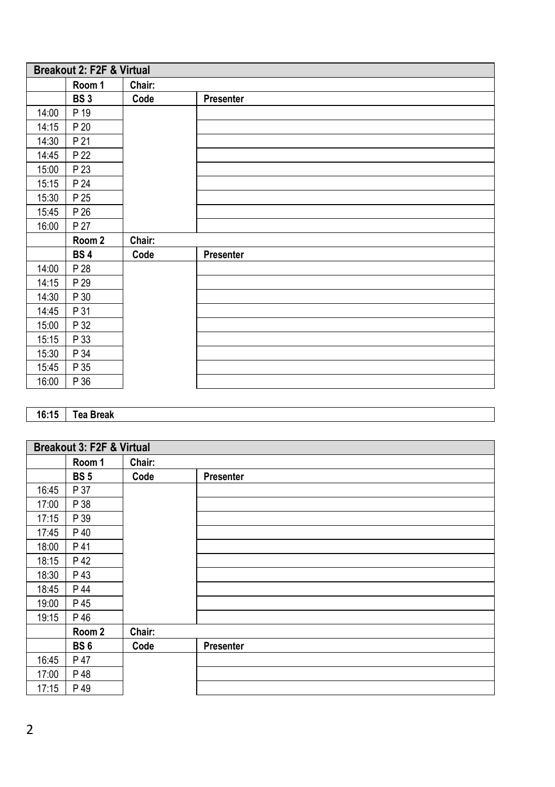| Breakout 2: F2F & Virtual |            |        |           |
|---------------------------|------------|--------|-----------|
|                           | Room 1     | Chair: |           |
|                           | <b>BS3</b> | Code   | Presenter |
| 14:00                     | P 19       |        |           |
| 14:15                     | P 20       |        |           |
| 14:30                     | P 21       |        |           |
| 14:45                     | P 22       |        |           |
| 15:00                     | P 23       |        |           |
| 15:15                     | P 24       |        |           |
| 15:30                     | P 25       |        |           |
| 15:45                     | P 26       |        |           |
| 16:00                     | P 27       |        |           |
|                           | Room 2     | Chair: |           |
|                           | <b>BS4</b> | Code   | Presenter |
| 14:00                     | P 28       |        |           |
| 14:15                     | P 29       |        |           |
| 14:30                     | P 30       |        |           |
| 14:45                     | P 31       |        |           |
| 15:00                     | P 32       |        |           |
| 15:15                     | P 33       |        |           |
| 15:30                     | P 34       |        |           |
| 15:45                     | P 35       |        |           |
| 16:00                     | P 36       |        |           |

## **16:15 Tea Break**

| Breakout 3: F2F & Virtual |                 |        |           |
|---------------------------|-----------------|--------|-----------|
|                           | Room 1          | Chair: |           |
|                           | <b>BS5</b>      | Code   | Presenter |
| 16:45                     | P 37            |        |           |
| 17:00                     | P 38            |        |           |
| 17:15                     | P 39            |        |           |
| 17:45                     | P 40            |        |           |
| 18:00                     | P 41            |        |           |
| 18:15                     | P 42            |        |           |
| 18:30                     | P 43            |        |           |
| 18:45                     | P 44            |        |           |
| 19:00                     | P 45            |        |           |
| 19:15                     | P 46            |        |           |
|                           | Room 2          | Chair: |           |
|                           | BS <sub>6</sub> | Code   | Presenter |
| 16:45                     | P 47            |        |           |
| 17:00                     | P 48            |        |           |
| 17:15                     | P 49            |        |           |